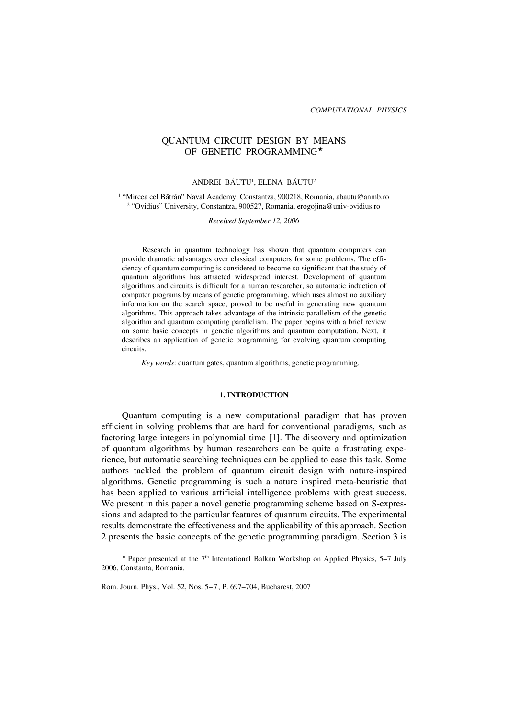# QUANTUM CIRCUIT DESIGN BY MEANS OF GENETIC PROGRAMMING

## ANDREI BÃUTU1, ELENA BÃUTU2

1 "Mircea cel Bătrân" Naval Academy, Constantza, 900218, Romania, abautu@anmb.ro 2 "Ovidius" University, Constantza, 900527, Romania, erogojina@univ-ovidius.ro

*Received September 12, 2006*

Research in quantum technology has shown that quantum computers can provide dramatic advantages over classical computers for some problems. The efficiency of quantum computing is considered to become so significant that the study of quantum algorithms has attracted widespread interest. Development of quantum algorithms and circuits is difficult for a human researcher, so automatic induction of computer programs by means of genetic programming, which uses almost no auxiliary information on the search space, proved to be useful in generating new quantum algorithms. This approach takes advantage of the intrinsic parallelism of the genetic algorithm and quantum computing parallelism. The paper begins with a brief review on some basic concepts in genetic algorithms and quantum computation. Next, it describes an application of genetic programming for evolving quantum computing circuits.

*Key words*: quantum gates, quantum algorithms, genetic programming.

### **1. INTRODUCTION**

Quantum computing is a new computational paradigm that has proven efficient in solving problems that are hard for conventional paradigms, such as factoring large integers in polynomial time [1]. The discovery and optimization of quantum algorithms by human researchers can be quite a frustrating experience, but automatic searching techniques can be applied to ease this task. Some authors tackled the problem of quantum circuit design with nature-inspired algorithms. Genetic programming is such a nature inspired meta-heuristic that has been applied to various artificial intelligence problems with great success. We present in this paper a novel genetic programming scheme based on S-expressions and adapted to the particular features of quantum circuits. The experimental results demonstrate the effectiveness and the applicability of this approach. Section 2 presents the basic concepts of the genetic programming paradigm. Section 3 is

\* Paper presented at the  $7<sup>th</sup>$  International Balkan Workshop on Applied Physics, 5–7 July 2006, Constanta, Romania.

Rom. Journ. Phys., Vol. 52, Nos. 5–7, P. 697–704, Bucharest, 2007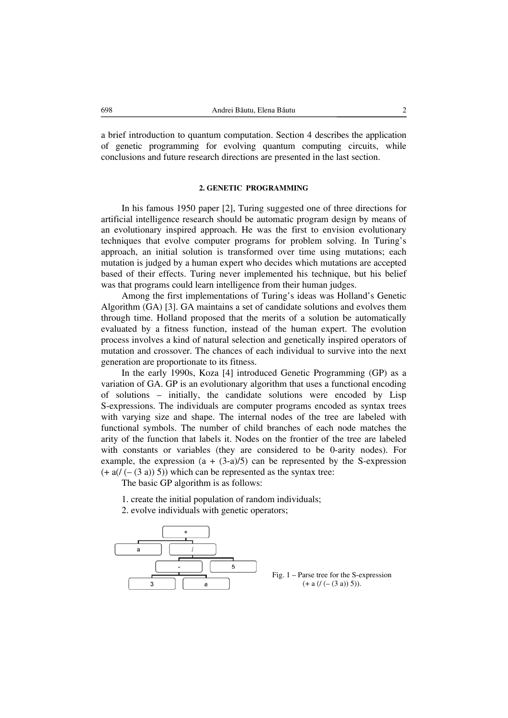a brief introduction to quantum computation. Section 4 describes the application of genetic programming for evolving quantum computing circuits, while conclusions and future research directions are presented in the last section.

# **2. GENETIC PROGRAMMING**

In his famous 1950 paper [2], Turing suggested one of three directions for artificial intelligence research should be automatic program design by means of an evolutionary inspired approach. He was the first to envision evolutionary techniques that evolve computer programs for problem solving. In Turing's approach, an initial solution is transformed over time using mutations; each mutation is judged by a human expert who decides which mutations are accepted based of their effects. Turing never implemented his technique, but his belief was that programs could learn intelligence from their human judges.

Among the first implementations of Turing's ideas was Holland's Genetic Algorithm (GA) [3]. GA maintains a set of candidate solutions and evolves them through time. Holland proposed that the merits of a solution be automatically evaluated by a fitness function, instead of the human expert. The evolution process involves a kind of natural selection and genetically inspired operators of mutation and crossover. The chances of each individual to survive into the next generation are proportionate to its fitness.

In the early 1990s, Koza [4] introduced Genetic Programming (GP) as a variation of GA. GP is an evolutionary algorithm that uses a functional encoding of solutions – initially, the candidate solutions were encoded by Lisp S-expressions. The individuals are computer programs encoded as syntax trees with varying size and shape. The internal nodes of the tree are labeled with functional symbols. The number of child branches of each node matches the arity of the function that labels it. Nodes on the frontier of the tree are labeled with constants or variables (they are considered to be 0-arity nodes). For example, the expression  $(a + (3-a)/5)$  can be represented by the S-expression  $(+ a/(- (3 a)) 5)$ ) which can be represented as the syntax tree:

The basic GP algorithm is as follows:

- 1. create the initial population of random individuals;
- 2. evolve individuals with genetic operators;



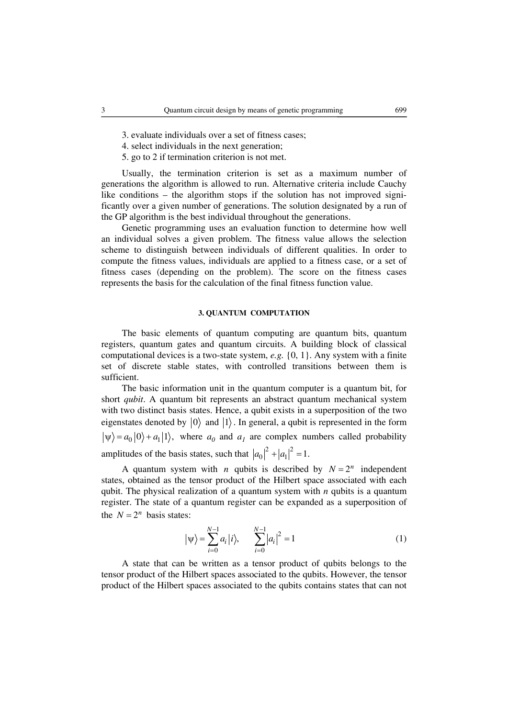- 4. select individuals in the next generation;
- 5. go to 2 if termination criterion is not met.

Usually, the termination criterion is set as a maximum number of generations the algorithm is allowed to run. Alternative criteria include Cauchy like conditions – the algorithm stops if the solution has not improved significantly over a given number of generations. The solution designated by a run of the GP algorithm is the best individual throughout the generations.

Genetic programming uses an evaluation function to determine how well an individual solves a given problem. The fitness value allows the selection scheme to distinguish between individuals of different qualities. In order to compute the fitness values, individuals are applied to a fitness case, or a set of fitness cases (depending on the problem). The score on the fitness cases represents the basis for the calculation of the final fitness function value.

## **3. QUANTUM COMPUTATION**

The basic elements of quantum computing are quantum bits, quantum registers, quantum gates and quantum circuits. A building block of classical computational devices is a two-state system, *e.g.* {0, 1}. Any system with a finite set of discrete stable states, with controlled transitions between them is sufficient.

The basic information unit in the quantum computer is a quantum bit, for short *qubit*. A quantum bit represents an abstract quantum mechanical system with two distinct basis states. Hence, a qubit exists in a superposition of the two eigenstates denoted by  $|0\rangle$  and  $|1\rangle$ . In general, a qubit is represented in the form  $|\psi\rangle = a_0 |0\rangle + a_1 |1\rangle$ , where  $a_0$  and  $a_1$  are complex numbers called probability amplitudes of the basis states, such that  $|a_0|^2 + |a_1|^2 = 1$ .

A quantum system with *n* qubits is described by  $N = 2^n$  independent states, obtained as the tensor product of the Hilbert space associated with each qubit. The physical realization of a quantum system with *n* qubits is a quantum register. The state of a quantum register can be expanded as a superposition of the  $N = 2^n$  basis states:

$$
|\psi\rangle = \sum_{i=0}^{N-1} a_i |i\rangle, \qquad \sum_{i=0}^{N-1} |a_i|^2 = 1
$$
 (1)

A state that can be written as a tensor product of qubits belongs to the tensor product of the Hilbert spaces associated to the qubits. However, the tensor product of the Hilbert spaces associated to the qubits contains states that can not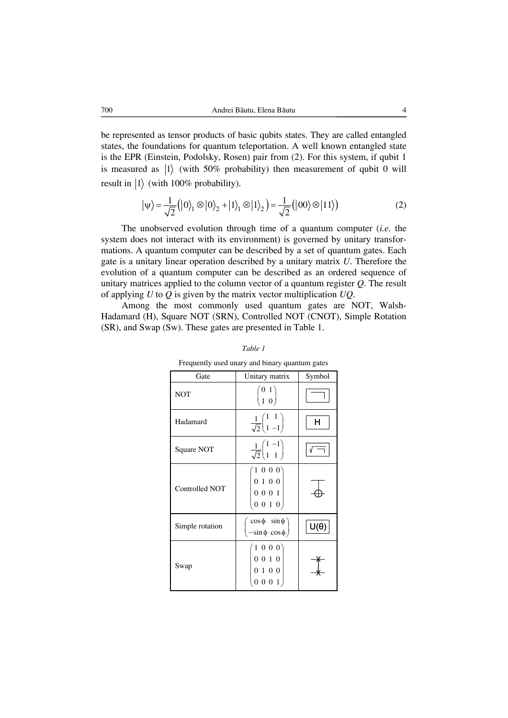be represented as tensor products of basic qubits states. They are called entangled states, the foundations for quantum teleportation. A well known entangled state is the EPR (Einstein, Podolsky, Rosen) pair from (2). For this system, if qubit 1 is measured as  $|1\rangle$  (with 50% probability) then measurement of qubit 0 will result in  $|1\rangle$  (with 100% probability).

$$
|\psi\rangle = \frac{1}{\sqrt{2}} (|0\rangle_1 \otimes |0\rangle_2 + |1\rangle_1 \otimes |1\rangle_2) = \frac{1}{\sqrt{2}} (|00\rangle \otimes |11\rangle)
$$
 (2)

The unobserved evolution through time of a quantum computer (*i.e.* the system does not interact with its environment) is governed by unitary transformations. A quantum computer can be described by a set of quantum gates. Each gate is a unitary linear operation described by a unitary matrix *U*. Therefore the evolution of a quantum computer can be described as an ordered sequence of unitary matrices applied to the column vector of a quantum register *Q*. The result of applying *U* to *Q* is given by the matrix vector multiplication *UQ*.

Among the most commonly used quantum gates are NOT, Walsh-Hadamard (H), Square NOT (SRN), Controlled NOT (CNOT), Simple Rotation (SR), and Swap (Sw). These gates are presented in Table 1.

| Gate            | Unitary matrix                                                    | Symbol      |
|-----------------|-------------------------------------------------------------------|-------------|
| <b>NOT</b>      | $\binom{0\;1}{1\;0}$                                              |             |
| Hadamard        | $\frac{1}{\sqrt{2}}\begin{pmatrix} 1 & 1 \\ 1 & -1 \end{pmatrix}$ | н           |
| Square NOT      | $\frac{1}{\sqrt{2}}\begin{pmatrix} 1 & -1 \\ 1 & 1 \end{pmatrix}$ |             |
| Controlled NOT  | 1000<br>$0\,$ 1 $\,$ 0 $\,$ 0 $\,$<br>$0 0 0 1$<br>[0 0 1 0]      |             |
| Simple rotation | $\cos \phi$ $\sin \phi$<br>$-\sin\phi \cos\phi$                   | $U(\theta)$ |
| Swap            | (1 0 0 0)<br>$0\ 0\ 1\ 0$<br>0100<br>0 0 0 1                      |             |

*Table 1*

Frequently used unary and binary quantum gates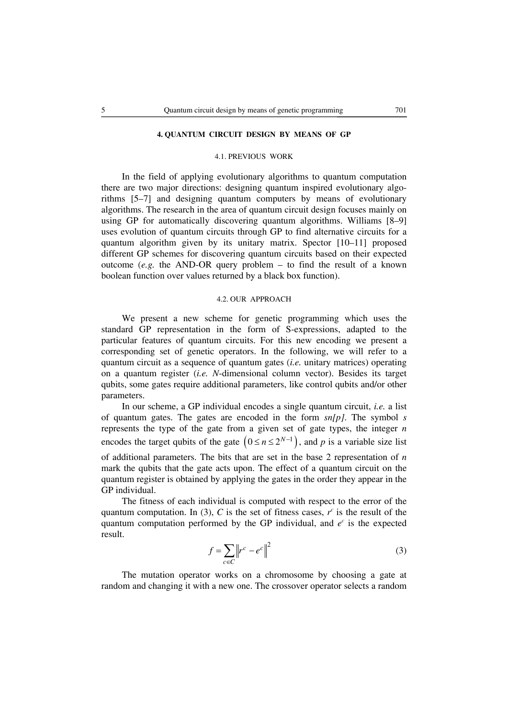## **4. QUANTUM CIRCUIT DESIGN BY MEANS OF GP**

# 4.1. PREVIOUS WORK

In the field of applying evolutionary algorithms to quantum computation there are two major directions: designing quantum inspired evolutionary algorithms [5–7] and designing quantum computers by means of evolutionary algorithms. The research in the area of quantum circuit design focuses mainly on using GP for automatically discovering quantum algorithms. Williams [8–9] uses evolution of quantum circuits through GP to find alternative circuits for a quantum algorithm given by its unitary matrix. Spector [10–11] proposed different GP schemes for discovering quantum circuits based on their expected outcome (*e.g.* the AND-OR query problem  $-$  to find the result of a known boolean function over values returned by a black box function).

## 4.2. OUR APPROACH

We present a new scheme for genetic programming which uses the standard GP representation in the form of S-expressions, adapted to the particular features of quantum circuits. For this new encoding we present a corresponding set of genetic operators. In the following, we will refer to a quantum circuit as a sequence of quantum gates (*i.e.* unitary matrices) operating on a quantum register (*i.e. N*-dimensional column vector). Besides its target qubits, some gates require additional parameters, like control qubits and/or other parameters.

In our scheme, a GP individual encodes a single quantum circuit, *i.e.* a list of quantum gates. The gates are encoded in the form *sn[p]*. The symbol *s* represents the type of the gate from a given set of gate types, the integer *n* encodes the target qubits of the gate  $(0 \le n \le 2^{N-1})$ , and p is a variable size list of additional parameters. The bits that are set in the base 2 representation of *n* mark the qubits that the gate acts upon. The effect of a quantum circuit on the quantum register is obtained by applying the gates in the order they appear in the GP individual.

The fitness of each individual is computed with respect to the error of the quantum computation. In (3),  $C$  is the set of fitness cases,  $r^c$  is the result of the quantum computation performed by the GP individual, and  $e^c$  is the expected result.

$$
f = \sum_{c \in C} \left\| r^c - e^c \right\|^2 \tag{3}
$$

The mutation operator works on a chromosome by choosing a gate at random and changing it with a new one. The crossover operator selects a random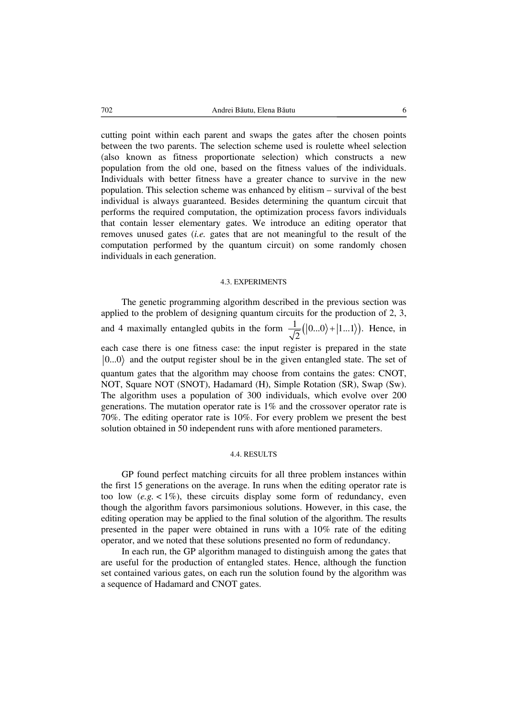cutting point within each parent and swaps the gates after the chosen points between the two parents. The selection scheme used is roulette wheel selection (also known as fitness proportionate selection) which constructs a new population from the old one, based on the fitness values of the individuals. Individuals with better fitness have a greater chance to survive in the new population. This selection scheme was enhanced by elitism – survival of the best individual is always guaranteed. Besides determining the quantum circuit that performs the required computation, the optimization process favors individuals that contain lesser elementary gates. We introduce an editing operator that removes unused gates (*i.e.* gates that are not meaningful to the result of the computation performed by the quantum circuit) on some randomly chosen individuals in each generation.

#### 4.3. EXPERIMENTS

The genetic programming algorithm described in the previous section was applied to the problem of designing quantum circuits for the production of 2, 3, and 4 maximally entangled qubits in the form  $\frac{1}{\sqrt{2}}(|0...0\rangle+|1...1\rangle)$ . 2  $+ |1...1\rangle$ ). Hence, in each case there is one fitness case: the input register is prepared in the state  $|0...0\rangle$  and the output register shoul be in the given entangled state. The set of quantum gates that the algorithm may choose from contains the gates: CNOT, NOT, Square NOT (SNOT), Hadamard (H), Simple Rotation (SR), Swap (Sw). The algorithm uses a population of 300 individuals, which evolve over 200 generations. The mutation operator rate is 1% and the crossover operator rate is 70%. The editing operator rate is 10%. For every problem we present the best solution obtained in 50 independent runs with afore mentioned parameters.

### 4.4. RESULTS

GP found perfect matching circuits for all three problem instances within the first 15 generations on the average. In runs when the editing operator rate is too low  $(e.g. < 1\%)$ , these circuits display some form of redundancy, even though the algorithm favors parsimonious solutions. However, in this case, the editing operation may be applied to the final solution of the algorithm. The results presented in the paper were obtained in runs with a 10% rate of the editing operator, and we noted that these solutions presented no form of redundancy.

In each run, the GP algorithm managed to distinguish among the gates that are useful for the production of entangled states. Hence, although the function set contained various gates, on each run the solution found by the algorithm was a sequence of Hadamard and CNOT gates.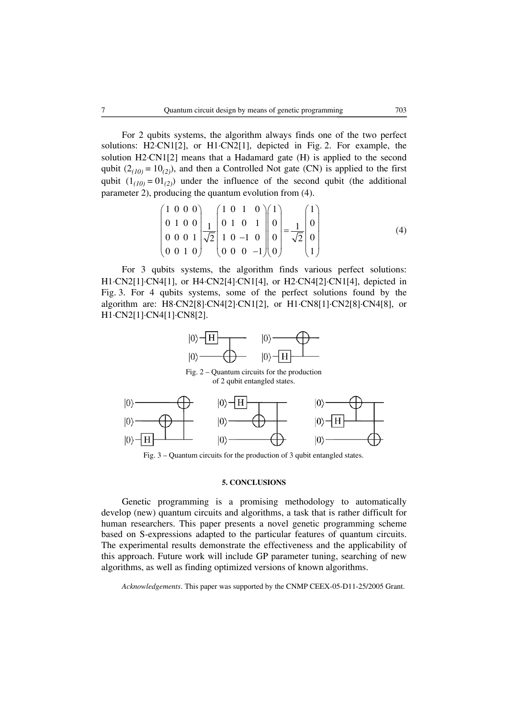For 2 qubits systems, the algorithm always finds one of the two perfect solutions: H2·CN1[2], or H1·CN2[1], depicted in Fig. 2. For example, the solution H2⋅CN1[2] means that a Hadamard gate (H) is applied to the second qubit  $(2_{(10)} = 10_{(2)})$ , and then a Controlled Not gate (CN) is applied to the first qubit  $(1_{(10)} = 01_{(2)})$  under the influence of the second qubit (the additional parameter 2), producing the quantum evolution from (4).

$$
\begin{pmatrix} 1 & 0 & 0 & 0 \ 0 & 1 & 0 & 0 \ 0 & 0 & 0 & 1 \ 0 & 0 & 1 & 0 \ 0 & 0 & 1 & 0 \ \end{pmatrix} \frac{1}{\sqrt{2}} \begin{pmatrix} 1 & 0 & 1 & 0 \ 0 & 1 & 0 & 1 \ 1 & 0 & -1 & 0 \ 0 & 0 & 0 & -1 \ \end{pmatrix} \begin{pmatrix} 1 \ 0 \ 0 \ 0 \ \end{pmatrix} = \frac{1}{\sqrt{2}} \begin{pmatrix} 1 \ 0 \ 0 \ 1 \ \end{pmatrix}
$$
(4)

For 3 qubits systems, the algorithm finds various perfect solutions: H1⋅CN2[1]⋅CN4[1], or H4⋅CN2[4]⋅CN1[4], or H2⋅CN4[2]⋅CN1[4], depicted in Fig. 3. For 4 qubits systems, some of the perfect solutions found by the algorithm are: H8⋅CN2[8]⋅CN4[2]⋅CN1[2], or H1·CN8[1]·CN2[8]·CN4[8], or H1·CN2[1]·CN4[1]·CN8[2].



Fig. 2 – Quantum circuits for the production of 2 qubit entangled states.



Fig. 3 – Quantum circuits for the production of 3 qubit entangled states.

### **5. CONCLUSIONS**

Genetic programming is a promising methodology to automatically develop (new) quantum circuits and algorithms, a task that is rather difficult for human researchers. This paper presents a novel genetic programming scheme based on S-expressions adapted to the particular features of quantum circuits. The experimental results demonstrate the effectiveness and the applicability of this approach. Future work will include GP parameter tuning, searching of new algorithms, as well as finding optimized versions of known algorithms.

*Acknowledgements*. This paper was supported by the CNMP CEEX-05-D11-25/2005 Grant.